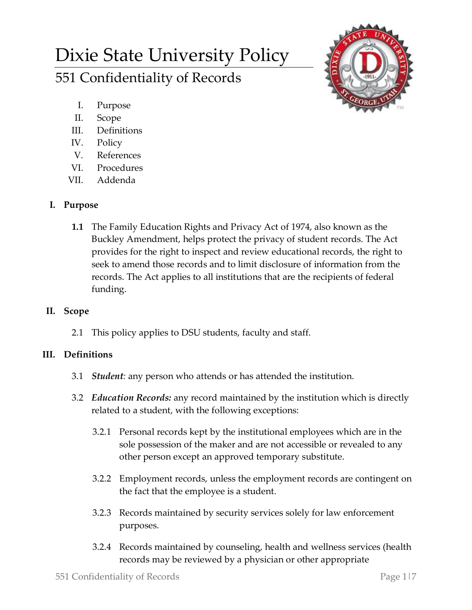# Dixie State University Policy 551 Confidentiality of Records



- I. Purpose
- II. Scope
- III. Definitions
- IV. Policy
- V. References
- VI. Procedures
- VII. Addenda

#### **I. Purpose**

**1.1** The Family Education Rights and Privacy Act of 1974, also known as the Buckley Amendment, helps protect the privacy of student records. The Act provides for the right to inspect and review educational records, the right to seek to amend those records and to limit disclosure of information from the records. The Act applies to all institutions that are the recipients of federal funding.

## **II. Scope**

2.1 This policy applies to DSU students, faculty and staff.

## **III. Definitions**

- 3.1 *Student:* any person who attends or has attended the institution.
- 3.2 *Education Records:* any record maintained by the institution which is directly related to a student, with the following exceptions:
	- 3.2.1 Personal records kept by the institutional employees which are in the sole possession of the maker and are not accessible or revealed to any other person except an approved temporary substitute.
	- 3.2.2 Employment records, unless the employment records are contingent on the fact that the employee is a student.
	- 3.2.3 Records maintained by security services solely for law enforcement purposes.
	- 3.2.4 Records maintained by counseling, health and wellness services (health records may be reviewed by a physician or other appropriate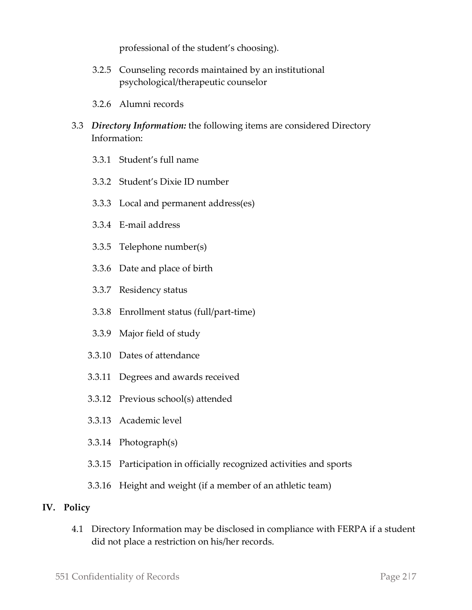professional of the student's choosing).

- 3.2.5 Counseling records maintained by an institutional psychological/therapeutic counselor
- 3.2.6 Alumni records
- 3.3 *Directory Information:* the following items are considered Directory Information:
	- 3.3.1 Student's full name
	- 3.3.2 Student's Dixie ID number
	- 3.3.3 Local and permanent address(es)
	- 3.3.4 E-mail address
	- 3.3.5 Telephone number(s)
	- 3.3.6 Date and place of birth
	- 3.3.7 Residency status
	- 3.3.8 Enrollment status (full/part-time)
	- 3.3.9 Major field of study
	- 3.3.10 Dates of attendance
	- 3.3.11 Degrees and awards received
	- 3.3.12 Previous school(s) attended
	- 3.3.13 Academic level
	- 3.3.14 Photograph(s)
	- 3.3.15 Participation in officially recognized activities and sports
	- 3.3.16 Height and weight (if a member of an athletic team)

#### **IV. Policy**

4.1 Directory Information may be disclosed in compliance with FERPA if a student did not place a restriction on his/her records.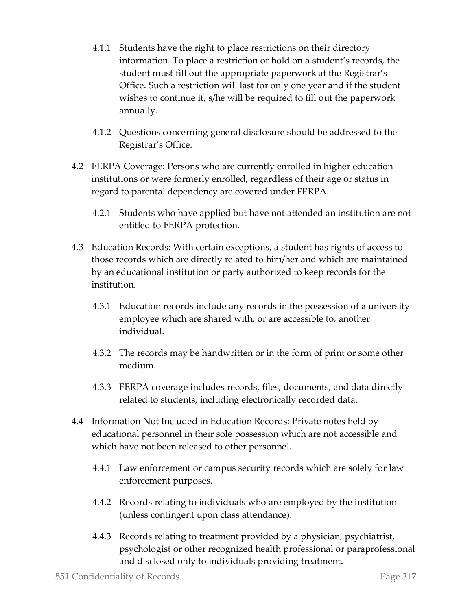- 4.1.1 Students have the right to place restrictions on their directory information. To place a restriction or hold on a student's records, the student must fill out the appropriate paperwork at the Registrar's Office. Such a restriction will last for only one year and if the student wishes to continue it, s/he will be required to fill out the paperwork annually.
- 4.1.2 Questions concerning general disclosure should be addressed to the Registrar's Office.
- 4.2 FERPA Coverage: Persons who are currently enrolled in higher education institutions or were formerly enrolled, regardless of their age or status in regard to parental dependency are covered under FERPA.
	- 4.2.1 Students who have applied but have not attended an institution are not entitled to FERPA protection.
- 4.3 Education Records: With certain exceptions, a student has rights of access to those records which are directly related to him/her and which are maintained by an educational institution or party authorized to keep records for the institution.
	- 4.3.1 Education records include any records in the possession of a university employee which are shared with, or are accessible to, another individual.
	- 4.3.2 The records may be handwritten or in the form of print or some other medium.
	- 4.3.3 FERPA coverage includes records, files, documents, and data directly related to students, including electronically recorded data.
- 4.4 Information Not Included in Education Records: Private notes held by educational personnel in their sole possession which are not accessible and which have not been released to other personnel.
	- 4.4.1 Law enforcement or campus security records which are solely for law enforcement purposes.
	- 4.4.2 Records relating to individuals who are employed by the institution (unless contingent upon class attendance).
	- 4.4.3 Records relating to treatment provided by a physician, psychiatrist, psychologist or other recognized health professional or paraprofessional and disclosed only to individuals providing treatment.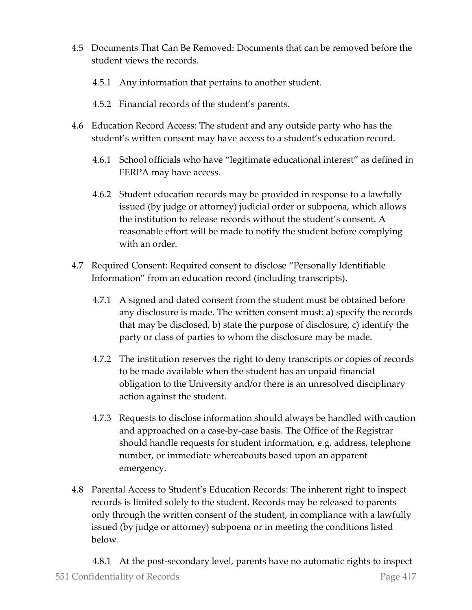- 4.5 Documents That Can Be Removed: Documents that can be removed before the student views the records.
	- 4.5.1 Any information that pertains to another student.
	- 4.5.2 Financial records of the student's parents.
- 4.6 Education Record Access: The student and any outside party who has the student's written consent may have access to a student's education record.
	- 4.6.1 School officials who have "legitimate educational interest" as defined in FERPA may have access.
	- 4.6.2 Student education records may be provided in response to a lawfully issued (by judge or attorney) judicial order or subpoena, which allows the institution to release records without the student's consent. A reasonable effort will be made to notify the student before complying with an order.
- 4.7 Required Consent: Required consent to disclose "Personally Identifiable Information" from an education record (including transcripts).
	- 4.7.1 A signed and dated consent from the student must be obtained before any disclosure is made. The written consent must: a) specify the records that may be disclosed, b) state the purpose of disclosure, c) identify the party or class of parties to whom the disclosure may be made.
	- 4.7.2 The institution reserves the right to deny transcripts or copies of records to be made available when the student has an unpaid financial obligation to the University and/or there is an unresolved disciplinary action against the student.
	- 4.7.3 Requests to disclose information should always be handled with caution and approached on a case-by-case basis. The Office of the Registrar should handle requests for student information, e.g. address, telephone number, or immediate whereabouts based upon an apparent emergency.
- 4.8 Parental Access to Student's Education Records: The inherent right to inspect records is limited solely to the student. Records may be released to parents only through the written consent of the student, in compliance with a lawfully issued (by judge or attorney) subpoena or in meeting the conditions listed below.

551 Confidentiality of Records Page 4|7 4.8.1 At the post-secondary level, parents have no automatic rights to inspect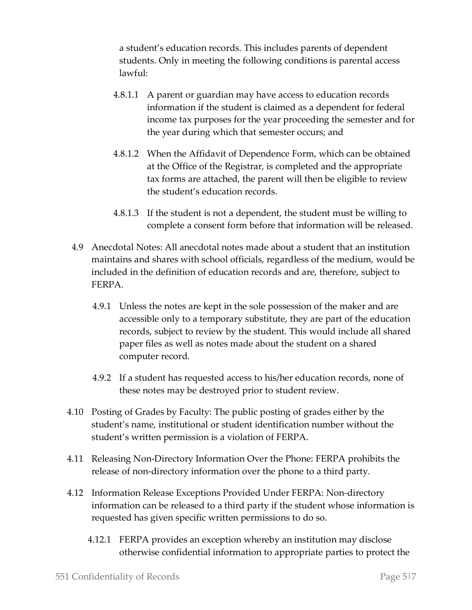a student's education records. This includes parents of dependent students. Only in meeting the following conditions is parental access lawful:

- 4.8.1.1 A parent or guardian may have access to education records information if the student is claimed as a dependent for federal income tax purposes for the year proceeding the semester and for the year during which that semester occurs; and
- 4.8.1.2 When the Affidavit of Dependence Form, which can be obtained at the Office of the Registrar, is completed and the appropriate tax forms are attached, the parent will then be eligible to review the student's education records.
- 4.8.1.3 If the student is not a dependent, the student must be willing to complete a consent form before that information will be released.
- 4.9 Anecdotal Notes: All anecdotal notes made about a student that an institution maintains and shares with school officials, regardless of the medium, would be included in the definition of education records and are, therefore, subject to FERPA.
	- 4.9.1 Unless the notes are kept in the sole possession of the maker and are accessible only to a temporary substitute, they are part of the education records, subject to review by the student. This would include all shared paper files as well as notes made about the student on a shared computer record.
	- 4.9.2 If a student has requested access to his/her education records, none of these notes may be destroyed prior to student review.
- 4.10 Posting of Grades by Faculty: The public posting of grades either by the student's name, institutional or student identification number without the student's written permission is a violation of FERPA.
- 4.11 Releasing Non-Directory Information Over the Phone: FERPA prohibits the release of non-directory information over the phone to a third party.
- 4.12 Information Release Exceptions Provided Under FERPA: Non-directory information can be released to a third party if the student whose information is requested has given specific written permissions to do so.
	- 4.12.1 FERPA provides an exception whereby an institution may disclose otherwise confidential information to appropriate parties to protect the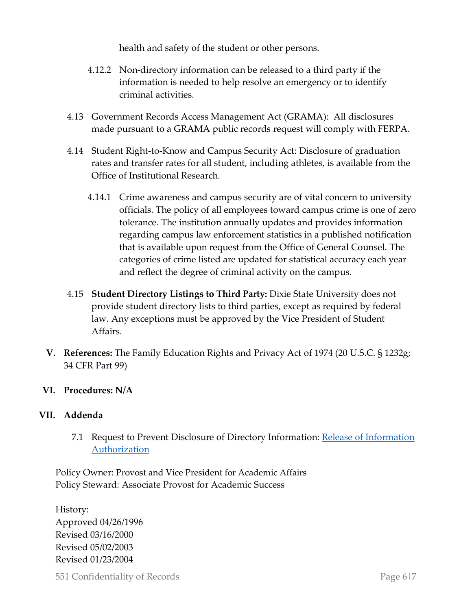health and safety of the student or other persons.

- 4.12.2 Non-directory information can be released to a third party if the information is needed to help resolve an emergency or to identify criminal activities.
- 4.13 Government Records Access Management Act (GRAMA): All disclosures made pursuant to a GRAMA public records request will comply with FERPA.
- 4.14 Student Right-to-Know and Campus Security Act: Disclosure of graduation rates and transfer rates for all student, including athletes, is available from the Office of Institutional Research.
	- 4.14.1 Crime awareness and campus security are of vital concern to university officials. The policy of all employees toward campus crime is one of zero tolerance. The institution annually updates and provides information regarding campus law enforcement statistics in a published notification that is available upon request from the Office of General Counsel. The categories of crime listed are updated for statistical accuracy each year and reflect the degree of criminal activity on the campus.
- 4.15 **Student Directory Listings to Third Party:** Dixie State University does not provide student directory lists to third parties, except as required by federal law. Any exceptions must be approved by the Vice President of Student Affairs.
- **V. References:** The Family Education Rights and Privacy Act of 1974 (20 U.S.C. § 1232g; 34 CFR Part 99)
- **VI. Procedures: N/A**

#### **VII. Addenda**

7.1 Request to Prevent Disclosure of Directory Information: [Release of Information](https://registration.dixie.edu/wp-content/uploads/sites/78/2017/08/info-release.pdf)  [Authorization](https://registration.dixie.edu/wp-content/uploads/sites/78/2017/08/info-release.pdf)

Policy Owner: Provost and Vice President for Academic Affairs Policy Steward: Associate Provost for Academic Success

History: Approved 04/26/1996 Revised 03/16/2000 Revised 05/02/2003 Revised 01/23/2004

551 Confidentiality of Records Page 6|7